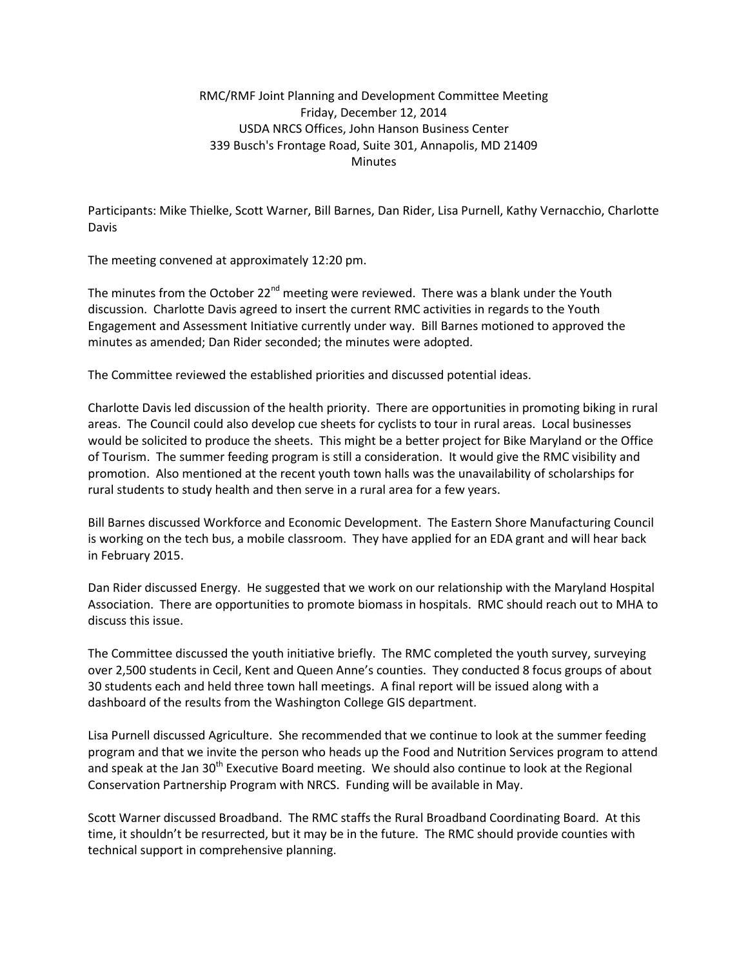## RMC/RMF Joint Planning and Development Committee Meeting Friday, December 12, 2014 USDA NRCS Offices, John Hanson Business Center 339 Busch's Frontage Road, Suite 301, Annapolis, MD 21409 **Minutes**

Participants: Mike Thielke, Scott Warner, Bill Barnes, Dan Rider, Lisa Purnell, Kathy Vernacchio, Charlotte Davis

The meeting convened at approximately 12:20 pm.

The minutes from the October 22<sup>nd</sup> meeting were reviewed. There was a blank under the Youth discussion. Charlotte Davis agreed to insert the current RMC activities in regards to the Youth Engagement and Assessment Initiative currently under way. Bill Barnes motioned to approved the minutes as amended; Dan Rider seconded; the minutes were adopted.

The Committee reviewed the established priorities and discussed potential ideas.

Charlotte Davis led discussion of the health priority. There are opportunities in promoting biking in rural areas. The Council could also develop cue sheets for cyclists to tour in rural areas. Local businesses would be solicited to produce the sheets. This might be a better project for Bike Maryland or the Office of Tourism. The summer feeding program is still a consideration. It would give the RMC visibility and promotion. Also mentioned at the recent youth town halls was the unavailability of scholarships for rural students to study health and then serve in a rural area for a few years.

Bill Barnes discussed Workforce and Economic Development. The Eastern Shore Manufacturing Council is working on the tech bus, a mobile classroom. They have applied for an EDA grant and will hear back in February 2015.

Dan Rider discussed Energy. He suggested that we work on our relationship with the Maryland Hospital Association. There are opportunities to promote biomass in hospitals. RMC should reach out to MHA to discuss this issue.

The Committee discussed the youth initiative briefly. The RMC completed the youth survey, surveying over 2,500 students in Cecil, Kent and Queen Anne's counties. They conducted 8 focus groups of about 30 students each and held three town hall meetings. A final report will be issued along with a dashboard of the results from the Washington College GIS department.

Lisa Purnell discussed Agriculture. She recommended that we continue to look at the summer feeding program and that we invite the person who heads up the Food and Nutrition Services program to attend and speak at the Jan 30<sup>th</sup> Executive Board meeting. We should also continue to look at the Regional Conservation Partnership Program with NRCS. Funding will be available in May.

Scott Warner discussed Broadband. The RMC staffs the Rural Broadband Coordinating Board. At this time, it shouldn't be resurrected, but it may be in the future. The RMC should provide counties with technical support in comprehensive planning.